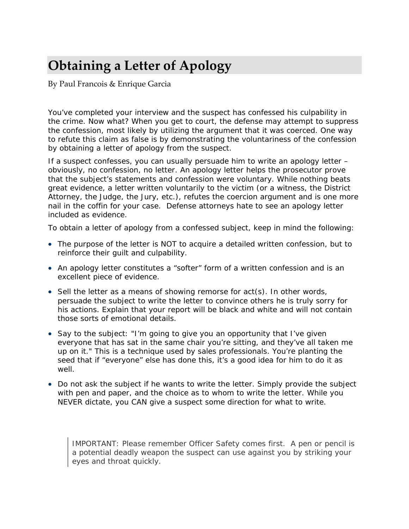# **Obtaining a Letter of Apology**

By Paul Francois & Enrique Garcia

You've completed your interview and the suspect has confessed his culpability in the crime. Now what? When you get to court, the defense may attempt to suppress the confession, most likely by utilizing the argument that it was coerced. One way to refute this claim as false is by demonstrating the voluntariness of the confession by obtaining a letter of apology from the suspect.

If a suspect confesses, you can usually persuade him to write an apology letter – obviously, no confession, no letter. An apology letter helps the prosecutor prove that the subject's statements and confession were voluntary. While nothing beats great evidence, a letter written voluntarily to the victim (or a witness, the District Attorney, the Judge, the Jury, etc.), refutes the coercion argument and is one more nail in the coffin for your case. Defense attorneys hate to see an apology letter included as evidence.

To obtain a letter of apology from a confessed subject, keep in mind the following:

- The purpose of the letter is NOT to acquire a detailed written confession, but to reinforce their guilt and culpability.
- An apology letter constitutes a "softer" form of a written confession and is an excellent piece of evidence.
- Sell the letter as a means of showing remorse for act(s). In other words, persuade the subject to write the letter to convince others he is truly sorry for his actions. Explain that your report will be black and white and will not contain those sorts of emotional details.
- Say to the subject: *"I'm going to give you an opportunity that I've given everyone that has sat in the same chair you're sitting, and they've all taken me up on it."* This is a technique used by sales professionals. You're planting the seed that if "everyone" else has done this, it's a good idea for him to do it as well.
- Do not ask the subject if he *wants* to write the letter. Simply provide the subject with pen and paper, and the choice as to whom to write the letter. While you NEVER dictate, you CAN give a suspect some direction for what to write.

IMPORTANT: Please remember Officer Safety comes first. A pen or pencil is a potential deadly weapon the suspect can use against you by striking your eyes and throat quickly.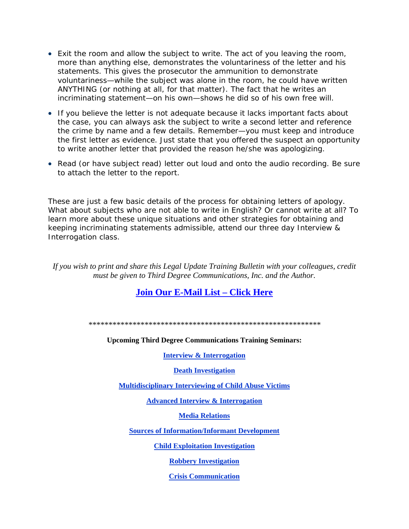- Exit the room and allow the subject to write. The act of you leaving the room, more than anything else, demonstrates the voluntariness of the letter and his statements. This gives the prosecutor the ammunition to demonstrate voluntariness—while the subject was alone in the room, he could have written ANYTHING (or nothing at all, for that matter). The fact that he writes an incriminating statement—on his own—shows he did so of his own free will.
- If you believe the letter is not adequate because it lacks important facts about the case, you can always ask the subject to write a second letter and reference the crime by name and a few details. Remember—you must keep and introduce the first letter as evidence. Just state that you offered the suspect an opportunity to write another letter that provided the reason he/she was apologizing.
- Read (or have subject read) letter out loud and onto the audio recording. Be sure to attach the letter to the report.

These are just a few basic details of the process for obtaining letters of apology. What about subjects who are not able to write in English? Or cannot write at all? To learn more about these unique situations and other strategies for obtaining and keeping incriminating statements admissible, attend our three day Interview & Interrogation class.

*If you wish to print and share this Legal Update Training Bulletin with your colleagues, credit must be given to Third Degree Communications, Inc. and the Author.*

## **Join Our E-Mail List – Click Here**

*\*\*\*\*\*\*\*\*\*\*\*\*\*\*\*\*\*\*\*\*\*\*\*\*\*\*\*\*\*\*\*\*\*\*\*\*\*\*\*\*\*\*\*\*\*\*\*\*\*\*\*\*\*\*\*\*\*\** 

**Upcoming Third Degree Communications Training Seminars:**

#### **Interview & Interrogation**

**Death Investigation**

**Multidisciplinary Interviewing of Child Abuse Victims**

**Advanced Interview & Interrogation**

**Media Relations**

**Sources of Information/Informant Development**

**Child Exploitation Investigation**

**Robbery Investigation**

**Crisis Communication**